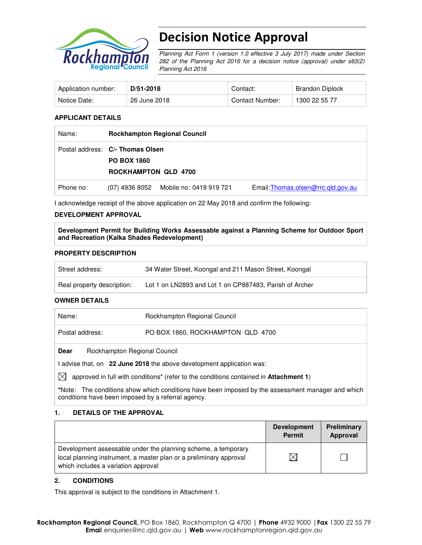

# Decision Notice Approval

Planning Act Form 1 (version 1.0 effective 3 July 2017) made under Section 282 of the Planning Act 2016 for a decision notice (approval) under s63(2) Planning Act 2016

| Application number: | $D/51-2018$  | Contact:        | Brandon Diplock |
|---------------------|--------------|-----------------|-----------------|
| Notice Date:        | 26 June 2018 | Contact Number: | 1300 22 55 77   |

#### **APPLICANT DETAILS**

| Name:     | <b>Rockhampton Regional Council</b>                                                   |                                        |                                    |
|-----------|---------------------------------------------------------------------------------------|----------------------------------------|------------------------------------|
|           | Postal address: C/- Thomas Olsen<br><b>PO BOX 1860</b><br><b>ROCKHAMPTON QLD 4700</b> |                                        |                                    |
| Phone no: |                                                                                       | (07) 4936 8052 Mobile no: 0419 919 721 | Email: Thomas.olsen@rrc.gld.gov.au |

I acknowledge receipt of the above application on 22 May 2018 and confirm the following:

#### **DEVELOPMENT APPROVAL**

**Development Permit for Building Works Assessable against a Planning Scheme for Outdoor Sport and Recreation (Kalka Shades Redevelopment)** 

#### **PROPERTY DESCRIPTION**

| Street address:            | 34 Water Street, Koongal and 211 Mason Street, Koongal  |
|----------------------------|---------------------------------------------------------|
| Real property description: | Lot 1 on LN2893 and Lot 1 on CP887483, Parish of Archer |

#### **OWNER DETAILS**

| Name:                                                                 | Rockhampton Regional Council      |  |
|-----------------------------------------------------------------------|-----------------------------------|--|
| Postal address:                                                       | PO BOX 1860, ROCKHAMPTON QLD 4700 |  |
| Rockhampton Regional Council<br>Dear                                  |                                   |  |
| I advise that, on 22 June 2018 the above development application was: |                                   |  |

 $\boxtimes$  approved in full with conditions<sup>\*</sup> (refer to the conditions contained in **Attachment 1**)

**\***Note:The conditions show which conditions have been imposed by the assessment manager and which conditions have been imposed by a referral agency.

#### **1. DETAILS OF THE APPROVAL**

|                                                                                                                                                                            | <b>Development</b><br><b>Permit</b> | Preliminary<br>Approval |
|----------------------------------------------------------------------------------------------------------------------------------------------------------------------------|-------------------------------------|-------------------------|
| Development assessable under the planning scheme, a temporary<br>local planning instrument, a master plan or a preliminary approval<br>which includes a variation approval |                                     |                         |

#### **2. CONDITIONS**

This approval is subject to the conditions in Attachment 1.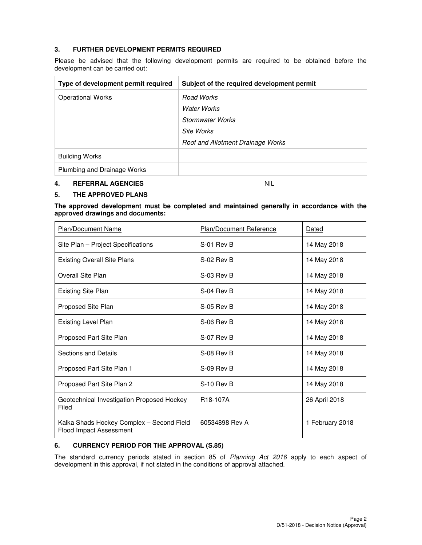## **3. FURTHER DEVELOPMENT PERMITS REQUIRED**

Please be advised that the following development permits are required to be obtained before the development can be carried out:

| Type of development permit required | Subject of the required development permit |
|-------------------------------------|--------------------------------------------|
| <b>Operational Works</b>            | Road Works                                 |
|                                     | Water Works                                |
|                                     | Stormwater Works                           |
|                                     | Site Works                                 |
|                                     | Roof and Allotment Drainage Works          |
| <b>Building Works</b>               |                                            |
| Plumbing and Drainage Works         |                                            |

#### **4. REFERRAL AGENCIES** NIL

#### **5. THE APPROVED PLANS**

**The approved development must be completed and maintained generally in accordance with the approved drawings and documents:** 

| Plan/Document Name                                                          | Plan/Document Reference | Dated           |
|-----------------------------------------------------------------------------|-------------------------|-----------------|
| Site Plan - Project Specifications                                          | S-01 Rev B              | 14 May 2018     |
| <b>Existing Overall Site Plans</b>                                          | S-02 Rev B              | 14 May 2018     |
| Overall Site Plan                                                           | S-03 Rev B              | 14 May 2018     |
| <b>Existing Site Plan</b>                                                   | S-04 Rev B              | 14 May 2018     |
| Proposed Site Plan                                                          | $S-05$ Rev B            | 14 May 2018     |
| <b>Existing Level Plan</b>                                                  | S-06 Rev B              | 14 May 2018     |
| Proposed Part Site Plan                                                     | S-07 Rev B              | 14 May 2018     |
| Sections and Details                                                        | S-08 Rev B              | 14 May 2018     |
| Proposed Part Site Plan 1                                                   | S-09 Rev B              | 14 May 2018     |
| Proposed Part Site Plan 2                                                   | S-10 Rev B              | 14 May 2018     |
| Geotechnical Investigation Proposed Hockey<br>Filed                         | R <sub>18</sub> -107A   | 26 April 2018   |
| Kalka Shads Hockey Complex - Second Field<br><b>Flood Impact Assessment</b> | 60534898 Rev A          | 1 February 2018 |

#### **6. CURRENCY PERIOD FOR THE APPROVAL (S.85)**

The standard currency periods stated in section 85 of Planning Act 2016 apply to each aspect of development in this approval, if not stated in the conditions of approval attached.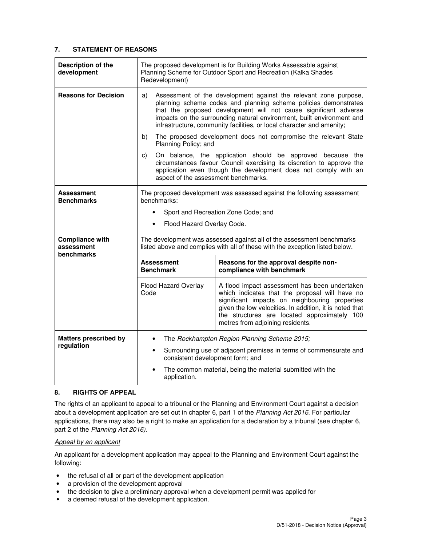## **7. STATEMENT OF REASONS**

| <b>Description of the</b><br>development           | The proposed development is for Building Works Assessable against<br>Planning Scheme for Outdoor Sport and Recreation (Kalka Shades<br>Redevelopment)                                                                                                                                                                                                           |                                                                                                                                                                                                                                                                                                  |  |
|----------------------------------------------------|-----------------------------------------------------------------------------------------------------------------------------------------------------------------------------------------------------------------------------------------------------------------------------------------------------------------------------------------------------------------|--------------------------------------------------------------------------------------------------------------------------------------------------------------------------------------------------------------------------------------------------------------------------------------------------|--|
| <b>Reasons for Decision</b>                        | Assessment of the development against the relevant zone purpose,<br>a)<br>planning scheme codes and planning scheme policies demonstrates<br>that the proposed development will not cause significant adverse<br>impacts on the surrounding natural environment, built environment and<br>infrastructure, community facilities, or local character and amenity; |                                                                                                                                                                                                                                                                                                  |  |
|                                                    | b)<br>Planning Policy; and                                                                                                                                                                                                                                                                                                                                      | The proposed development does not compromise the relevant State                                                                                                                                                                                                                                  |  |
|                                                    | C)<br>aspect of the assessment benchmarks.                                                                                                                                                                                                                                                                                                                      | On balance, the application should be approved because the<br>circumstances favour Council exercising its discretion to approve the<br>application even though the development does not comply with an                                                                                           |  |
| Assessment<br><b>Benchmarks</b>                    | The proposed development was assessed against the following assessment<br>benchmarks:                                                                                                                                                                                                                                                                           |                                                                                                                                                                                                                                                                                                  |  |
|                                                    |                                                                                                                                                                                                                                                                                                                                                                 | Sport and Recreation Zone Code; and                                                                                                                                                                                                                                                              |  |
|                                                    | Flood Hazard Overlay Code.<br>$\bullet$                                                                                                                                                                                                                                                                                                                         |                                                                                                                                                                                                                                                                                                  |  |
| <b>Compliance with</b><br>assessment<br>benchmarks | The development was assessed against all of the assessment benchmarks<br>listed above and complies with all of these with the exception listed below.                                                                                                                                                                                                           |                                                                                                                                                                                                                                                                                                  |  |
|                                                    | <b>Assessment</b><br><b>Benchmark</b>                                                                                                                                                                                                                                                                                                                           | Reasons for the approval despite non-<br>compliance with benchmark                                                                                                                                                                                                                               |  |
|                                                    | Flood Hazard Overlay<br>Code                                                                                                                                                                                                                                                                                                                                    | A flood impact assessment has been undertaken<br>which indicates that the proposal will have no<br>significant impacts on neighbouring properties<br>given the low velocities. In addition, it is noted that<br>the structures are located approximately 100<br>metres from adjoining residents. |  |
| <b>Matters prescribed by</b>                       | The Rockhampton Region Planning Scheme 2015;<br>$\bullet$                                                                                                                                                                                                                                                                                                       |                                                                                                                                                                                                                                                                                                  |  |
| regulation                                         | Surrounding use of adjacent premises in terms of commensurate and<br>$\bullet$<br>consistent development form; and                                                                                                                                                                                                                                              |                                                                                                                                                                                                                                                                                                  |  |
|                                                    | The common material, being the material submitted with the<br>application.                                                                                                                                                                                                                                                                                      |                                                                                                                                                                                                                                                                                                  |  |

#### **8. RIGHTS OF APPEAL**

The rights of an applicant to appeal to a tribunal or the Planning and Environment Court against a decision about a development application are set out in chapter 6, part 1 of the Planning Act 2016. For particular applications, there may also be a right to make an application for a declaration by a tribunal (see chapter 6, part 2 of the Planning Act 2016).

#### Appeal by an applicant

An applicant for a development application may appeal to the Planning and Environment Court against the following:

- the refusal of all or part of the development application
- a provision of the development approval
- the decision to give a preliminary approval when a development permit was applied for
- a deemed refusal of the development application.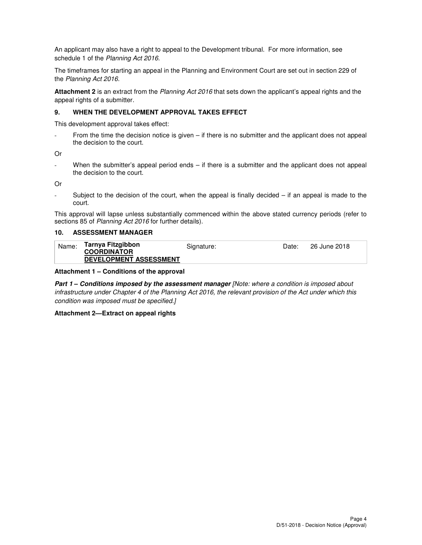An applicant may also have a right to appeal to the Development tribunal. For more information, see schedule 1 of the Planning Act 2016.

The timeframes for starting an appeal in the Planning and Environment Court are set out in section 229 of the Planning Act 2016.

**Attachment 2** is an extract from the Planning Act 2016 that sets down the applicant's appeal rights and the appeal rights of a submitter.

#### **9. WHEN THE DEVELOPMENT APPROVAL TAKES EFFECT**

This development approval takes effect:

From the time the decision notice is given  $-$  if there is no submitter and the applicant does not appeal the decision to the court.

Or

When the submitter's appeal period ends – if there is a submitter and the applicant does not appeal the decision to the court.

Or

- Subject to the decision of the court, when the appeal is finally decided – if an appeal is made to the court.

This approval will lapse unless substantially commenced within the above stated currency periods (refer to sections 85 of Planning Act 2016 for further details).

#### **10. ASSESSMENT MANAGER**

| Name: | Tarnya Fitzgibbon<br><b>COORDINATOR</b> | Signature: | Date: | 26 June 2018 |
|-------|-----------------------------------------|------------|-------|--------------|
|       | <b>DEVELOPMENT ASSESSMENT</b>           |            |       |              |

#### **Attachment 1 – Conditions of the approval**

**Part 1 – Conditions imposed by the assessment manager** [Note: where a condition is imposed about infrastructure under Chapter 4 of the Planning Act 2016, the relevant provision of the Act under which this condition was imposed must be specified.]

#### **Attachment 2—Extract on appeal rights**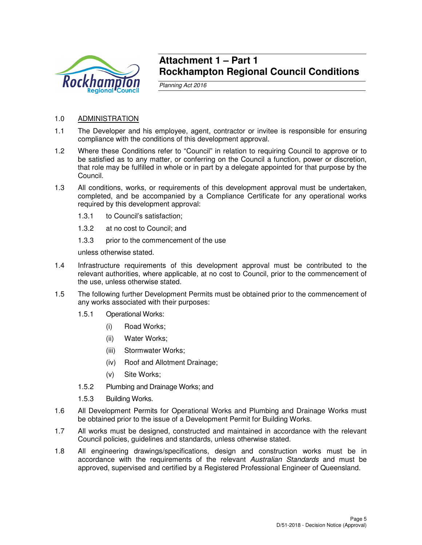

## **Attachment 1 – Part 1 Rockhampton Regional Council Conditions**

Planning Act 2016

## 1.0 ADMINISTRATION

- 1.1 The Developer and his employee, agent, contractor or invitee is responsible for ensuring compliance with the conditions of this development approval.
- 1.2 Where these Conditions refer to "Council" in relation to requiring Council to approve or to be satisfied as to any matter, or conferring on the Council a function, power or discretion, that role may be fulfilled in whole or in part by a delegate appointed for that purpose by the Council.
- 1.3 All conditions, works, or requirements of this development approval must be undertaken, completed, and be accompanied by a Compliance Certificate for any operational works required by this development approval:
	- 1.3.1 to Council's satisfaction;
	- 1.3.2 at no cost to Council; and
	- 1.3.3 prior to the commencement of the use

unless otherwise stated.

- 1.4 Infrastructure requirements of this development approval must be contributed to the relevant authorities, where applicable, at no cost to Council, prior to the commencement of the use, unless otherwise stated.
- 1.5 The following further Development Permits must be obtained prior to the commencement of any works associated with their purposes:
	- 1.5.1 Operational Works:
		- (i) Road Works;
		- (ii) Water Works;
		- (iii) Stormwater Works;
		- (iv) Roof and Allotment Drainage;
		- (v) Site Works;
	- 1.5.2 Plumbing and Drainage Works; and
	- 1.5.3 Building Works.
- 1.6 All Development Permits for Operational Works and Plumbing and Drainage Works must be obtained prior to the issue of a Development Permit for Building Works.
- 1.7 All works must be designed, constructed and maintained in accordance with the relevant Council policies, guidelines and standards, unless otherwise stated.
- 1.8 All engineering drawings/specifications, design and construction works must be in accordance with the requirements of the relevant Australian Standards and must be approved, supervised and certified by a Registered Professional Engineer of Queensland.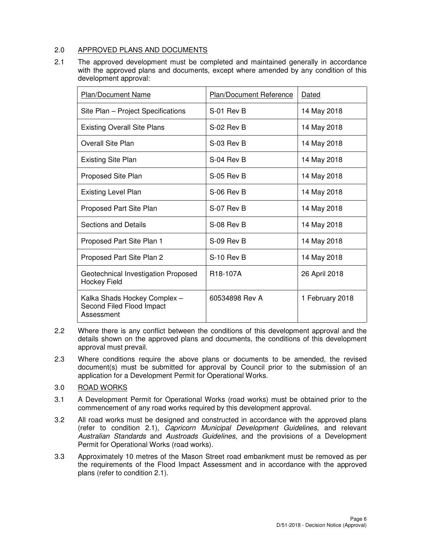## 2.0 APPROVED PLANS AND DOCUMENTS

2.1 The approved development must be completed and maintained generally in accordance with the approved plans and documents, except where amended by any condition of this development approval:

| <b>Plan/Document Name</b>                                               | <b>Plan/Document Reference</b> | Dated           |
|-------------------------------------------------------------------------|--------------------------------|-----------------|
| Site Plan - Project Specifications                                      | S-01 Rev B                     | 14 May 2018     |
| <b>Existing Overall Site Plans</b>                                      | S-02 Rev B                     | 14 May 2018     |
| Overall Site Plan                                                       | $S-0.3$ Rev B                  | 14 May 2018     |
| <b>Existing Site Plan</b>                                               | S-04 Rev B                     | 14 May 2018     |
| Proposed Site Plan                                                      | $S-05$ Rev B                   | 14 May 2018     |
| <b>Existing Level Plan</b>                                              | S-06 Rev B                     | 14 May 2018     |
| Proposed Part Site Plan                                                 | S-07 Rev B                     | 14 May 2018     |
| <b>Sections and Details</b>                                             | $S-08$ Rev B                   | 14 May 2018     |
| Proposed Part Site Plan 1                                               | S-09 Rev B                     | 14 May 2018     |
| Proposed Part Site Plan 2                                               | S-10 Rev B                     | 14 May 2018     |
| Geotechnical Investigation Proposed<br><b>Hockey Field</b>              | R <sub>18</sub> -107A          | 26 April 2018   |
| Kalka Shads Hockey Complex -<br>Second Filed Flood Impact<br>Assessment | 60534898 Rev A                 | 1 February 2018 |

- 2.2 Where there is any conflict between the conditions of this development approval and the details shown on the approved plans and documents, the conditions of this development approval must prevail.
- 2.3 Where conditions require the above plans or documents to be amended, the revised document(s) must be submitted for approval by Council prior to the submission of an application for a Development Permit for Operational Works.
- 3.0 ROAD WORKS
- 3.1 A Development Permit for Operational Works (road works) must be obtained prior to the commencement of any road works required by this development approval.
- 3.2 All road works must be designed and constructed in accordance with the approved plans (refer to condition 2.1), Capricorn Municipal Development Guidelines, and relevant Australian Standards and Austroads Guidelines, and the provisions of a Development Permit for Operational Works (road works).
- 3.3 Approximately 10 metres of the Mason Street road embankment must be removed as per the requirements of the Flood Impact Assessment and in accordance with the approved plans (refer to condition 2.1).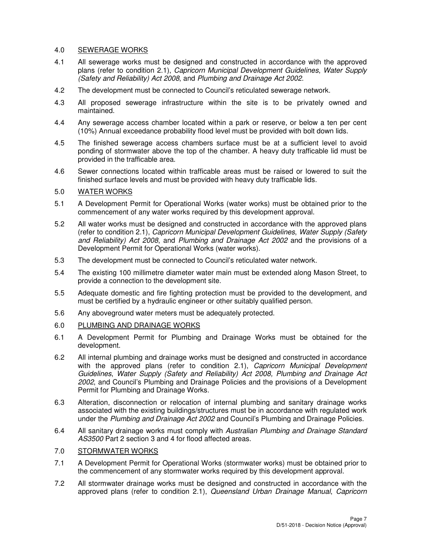## 4.0 SEWERAGE WORKS

- 4.1 All sewerage works must be designed and constructed in accordance with the approved plans (refer to condition 2.1), Capricorn Municipal Development Guidelines, Water Supply (Safety and Reliability) Act 2008, and Plumbing and Drainage Act 2002.
- 4.2 The development must be connected to Council's reticulated sewerage network.
- 4.3 All proposed sewerage infrastructure within the site is to be privately owned and maintained.
- 4.4 Any sewerage access chamber located within a park or reserve, or below a ten per cent (10%) Annual exceedance probability flood level must be provided with bolt down lids.
- 4.5 The finished sewerage access chambers surface must be at a sufficient level to avoid ponding of stormwater above the top of the chamber. A heavy duty trafficable lid must be provided in the trafficable area.
- 4.6 Sewer connections located within trafficable areas must be raised or lowered to suit the finished surface levels and must be provided with heavy duty trafficable lids.

## 5.0 WATER WORKS

- 5.1 A Development Permit for Operational Works (water works) must be obtained prior to the commencement of any water works required by this development approval.
- 5.2 All water works must be designed and constructed in accordance with the approved plans (refer to condition 2.1), Capricorn Municipal Development Guidelines, Water Supply (Safety and Reliability) Act 2008, and Plumbing and Drainage Act 2002 and the provisions of a Development Permit for Operational Works (water works).
- 5.3 The development must be connected to Council's reticulated water network.
- 5.4 The existing 100 millimetre diameter water main must be extended along Mason Street, to provide a connection to the development site.
- 5.5 Adequate domestic and fire fighting protection must be provided to the development, and must be certified by a hydraulic engineer or other suitably qualified person.
- 5.6 Any aboveground water meters must be adequately protected.
- 6.0 PLUMBING AND DRAINAGE WORKS
- 6.1 A Development Permit for Plumbing and Drainage Works must be obtained for the development.
- 6.2 All internal plumbing and drainage works must be designed and constructed in accordance with the approved plans (refer to condition 2.1), Capricorn Municipal Development Guidelines, Water Supply (Safety and Reliability) Act 2008, Plumbing and Drainage Act 2002, and Council's Plumbing and Drainage Policies and the provisions of a Development Permit for Plumbing and Drainage Works.
- 6.3 Alteration, disconnection or relocation of internal plumbing and sanitary drainage works associated with the existing buildings/structures must be in accordance with regulated work under the Plumbing and Drainage Act 2002 and Council's Plumbing and Drainage Policies.
- 6.4 All sanitary drainage works must comply with Australian Plumbing and Drainage Standard AS3500 Part 2 section 3 and 4 for flood affected areas.

## 7.0 STORMWATER WORKS

- 7.1 A Development Permit for Operational Works (stormwater works) must be obtained prior to the commencement of any stormwater works required by this development approval.
- 7.2 All stormwater drainage works must be designed and constructed in accordance with the approved plans (refer to condition 2.1), Queensland Urban Drainage Manual, Capricorn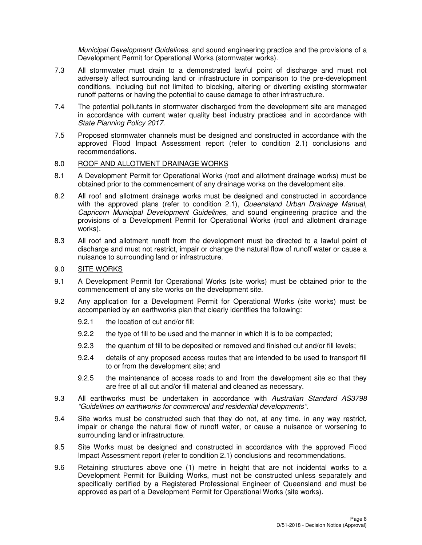Municipal Development Guidelines, and sound engineering practice and the provisions of a Development Permit for Operational Works (stormwater works).

- 7.3 All stormwater must drain to a demonstrated lawful point of discharge and must not adversely affect surrounding land or infrastructure in comparison to the pre-development conditions, including but not limited to blocking, altering or diverting existing stormwater runoff patterns or having the potential to cause damage to other infrastructure.
- 7.4 The potential pollutants in stormwater discharged from the development site are managed in accordance with current water quality best industry practices and in accordance with State Planning Policy 2017.
- 7.5 Proposed stormwater channels must be designed and constructed in accordance with the approved Flood Impact Assessment report (refer to condition 2.1) conclusions and recommendations.

#### 8.0 ROOF AND ALLOTMENT DRAINAGE WORKS

- 8.1 A Development Permit for Operational Works (roof and allotment drainage works) must be obtained prior to the commencement of any drainage works on the development site.
- 8.2 All roof and allotment drainage works must be designed and constructed in accordance with the approved plans (refer to condition 2.1), Queensland Urban Drainage Manual, Capricorn Municipal Development Guidelines, and sound engineering practice and the provisions of a Development Permit for Operational Works (roof and allotment drainage works).
- 8.3 All roof and allotment runoff from the development must be directed to a lawful point of discharge and must not restrict, impair or change the natural flow of runoff water or cause a nuisance to surrounding land or infrastructure.

## 9.0 SITE WORKS

- 9.1 A Development Permit for Operational Works (site works) must be obtained prior to the commencement of any site works on the development site.
- 9.2 Any application for a Development Permit for Operational Works (site works) must be accompanied by an earthworks plan that clearly identifies the following:
	- 9.2.1 the location of cut and/or fill;
	- 9.2.2 the type of fill to be used and the manner in which it is to be compacted;
	- 9.2.3 the quantum of fill to be deposited or removed and finished cut and/or fill levels;
	- 9.2.4 details of any proposed access routes that are intended to be used to transport fill to or from the development site; and
	- 9.2.5 the maintenance of access roads to and from the development site so that they are free of all cut and/or fill material and cleaned as necessary.
- 9.3 All earthworks must be undertaken in accordance with Australian Standard AS3798 "Guidelines on earthworks for commercial and residential developments".
- 9.4 Site works must be constructed such that they do not, at any time, in any way restrict, impair or change the natural flow of runoff water, or cause a nuisance or worsening to surrounding land or infrastructure.
- 9.5 Site Works must be designed and constructed in accordance with the approved Flood Impact Assessment report (refer to condition 2.1) conclusions and recommendations.
- 9.6 Retaining structures above one (1) metre in height that are not incidental works to a Development Permit for Building Works, must not be constructed unless separately and specifically certified by a Registered Professional Engineer of Queensland and must be approved as part of a Development Permit for Operational Works (site works).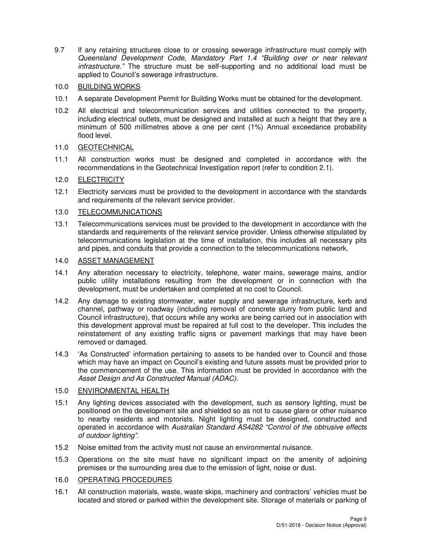9.7 If any retaining structures close to or crossing sewerage infrastructure must comply with Queensland Development Code, Mandatory Part 1.4 "Building over or near relevant infrastructure." The structure must be self-supporting and no additional load must be applied to Council's sewerage infrastructure.

## 10.0 BUILDING WORKS

- 10.1 A separate Development Permit for Building Works must be obtained for the development.
- 10.2 All electrical and telecommunication services and utilities connected to the property, including electrical outlets, must be designed and installed at such a height that they are a minimum of 500 millimetres above a one per cent (1%) Annual exceedance probability flood level.

## 11.0 GEOTECHNICAL

11.1 All construction works must be designed and completed in accordance with the recommendations in the Geotechnical Investigation report (refer to condition 2.1).

## 12.0 ELECTRICITY

12.1 Electricity services must be provided to the development in accordance with the standards and requirements of the relevant service provider.

## 13.0 TELECOMMUNICATIONS

13.1 Telecommunications services must be provided to the development in accordance with the standards and requirements of the relevant service provider. Unless otherwise stipulated by telecommunications legislation at the time of installation, this includes all necessary pits and pipes, and conduits that provide a connection to the telecommunications network.

## 14.0 ASSET MANAGEMENT

- 14.1 Any alteration necessary to electricity, telephone, water mains, sewerage mains, and/or public utility installations resulting from the development or in connection with the development, must be undertaken and completed at no cost to Council.
- 14.2 Any damage to existing stormwater, water supply and sewerage infrastructure, kerb and channel, pathway or roadway (including removal of concrete slurry from public land and Council infrastructure), that occurs while any works are being carried out in association with this development approval must be repaired at full cost to the developer. This includes the reinstatement of any existing traffic signs or pavement markings that may have been removed or damaged.
- 14.3 'As Constructed' information pertaining to assets to be handed over to Council and those which may have an impact on Council's existing and future assets must be provided prior to the commencement of the use. This information must be provided in accordance with the Asset Design and As Constructed Manual (ADAC).

#### 15.0 ENVIRONMENTAL HEALTH

- 15.1 Any lighting devices associated with the development, such as sensory lighting, must be positioned on the development site and shielded so as not to cause glare or other nuisance to nearby residents and motorists. Night lighting must be designed, constructed and operated in accordance with Australian Standard AS4282 "Control of the obtrusive effects of outdoor lighting".
- 15.2 Noise emitted from the activity must not cause an environmental nuisance.
- 15.3 Operations on the site must have no significant impact on the amenity of adjoining premises or the surrounding area due to the emission of light, noise or dust.

## 16.0 OPERATING PROCEDURES

16.1 All construction materials, waste, waste skips, machinery and contractors' vehicles must be located and stored or parked within the development site. Storage of materials or parking of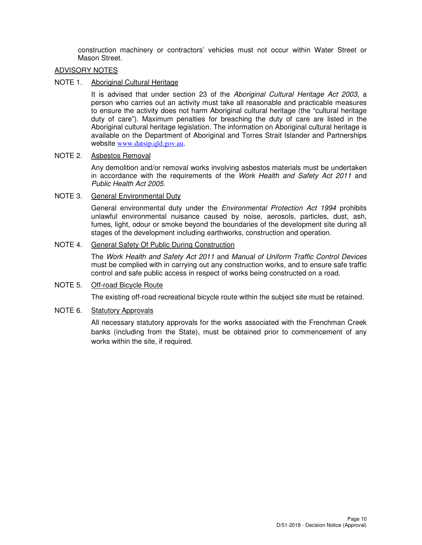construction machinery or contractors' vehicles must not occur within Water Street or Mason Street.

#### ADVISORY NOTES

## NOTE 1. Aboriginal Cultural Heritage

It is advised that under section 23 of the Aboriginal Cultural Heritage Act 2003, a person who carries out an activity must take all reasonable and practicable measures to ensure the activity does not harm Aboriginal cultural heritage (the "cultural heritage duty of care"). Maximum penalties for breaching the duty of care are listed in the Aboriginal cultural heritage legislation. The information on Aboriginal cultural heritage is available on the Department of Aboriginal and Torres Strait Islander and Partnerships website www.datsip.qld.gov.au.

## NOTE 2. Asbestos Removal

Any demolition and/or removal works involving asbestos materials must be undertaken in accordance with the requirements of the Work Health and Safety Act 2011 and Public Health Act 2005.

## NOTE 3. General Environmental Duty

General environmental duty under the *Environmental Protection Act 1994* prohibits unlawful environmental nuisance caused by noise, aerosols, particles, dust, ash, fumes, light, odour or smoke beyond the boundaries of the development site during all stages of the development including earthworks, construction and operation.

## NOTE 4. General Safety Of Public During Construction

The Work Health and Safety Act 2011 and Manual of Uniform Traffic Control Devices must be complied with in carrying out any construction works, and to ensure safe traffic control and safe public access in respect of works being constructed on a road.

#### NOTE 5. Off-road Bicycle Route

The existing off-road recreational bicycle route within the subject site must be retained.

#### NOTE 6. Statutory Approvals

All necessary statutory approvals for the works associated with the Frenchman Creek banks (including from the State), must be obtained prior to commencement of any works within the site, if required.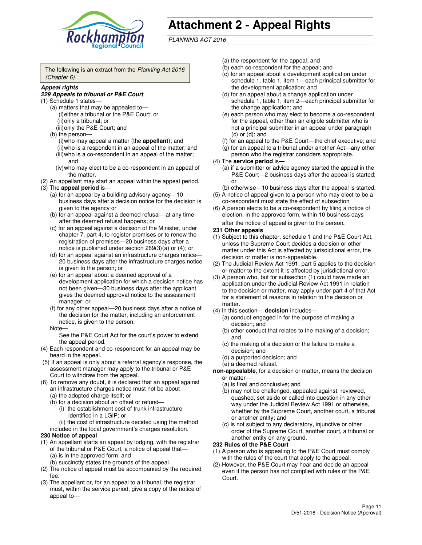

# **Attachment 2 - Appeal Rights**

PLANNING ACT 2016

The following is an extract from the Planning Act 2016 (Chapter 6)

#### **Appeal rights**

#### **229 Appeals to tribunal or P&E Court**

- (1) Schedule 1 states—
	- (a) matters that may be appealed to— (i) either a tribunal or the P&E Court; or (ii) only a tribunal; or (iii) only the P&E Court; and
	- (b) the person—
		- (i) who may appeal a matter (the **appellant**); and
		- (ii) who is a respondent in an appeal of the matter; and (iii) who is a co-respondent in an appeal of the matter; and
		- (iv) who may elect to be a co-respondent in an appeal of the matter.
- (2) An appellant may start an appeal within the appeal period.
- (3) The **appeal period** is—
	- (a) for an appeal by a building advisory agency—10 business days after a decision notice for the decision is given to the agency or
	- (b) for an appeal against a deemed refusal—at any time after the deemed refusal happens; or
	- (c) for an appeal against a decision of the Minister, under chapter 7, part 4, to register premises or to renew the registration of premises—20 business days after a notice is published under section 269(3)(a) or (4); or
	- (d) for an appeal against an infrastructure charges notice— 20 business days after the infrastructure charges notice is given to the person; or
	- (e) for an appeal about a deemed approval of a development application for which a decision notice has not been given—30 business days after the applicant gives the deemed approval notice to the assessment manager; or
	- (f) for any other appeal—20 business days after a notice of the decision for the matter, including an enforcement notice, is given to the person.
	- Note—

See the P&E Court Act for the court's power to extend the appeal period.

- (4) Each respondent and co-respondent for an appeal may be heard in the appeal.
- (5) If an appeal is only about a referral agency's response, the assessment manager may apply to the tribunal or P&E Court to withdraw from the appeal.
- (6) To remove any doubt, it is declared that an appeal against an infrastructure charges notice must not be about—
	- (a) the adopted charge itself; or
	- (b) for a decision about an offset or refund—
		- (i) the establishment cost of trunk infrastructure identified in a LGIP; or
		- (ii) the cost of infrastructure decided using the method
- included in the local government's charges resolution. **230 Notice of appeal**
- (1) An appellant starts an appeal by lodging, with the registrar of the tribunal or P&E Court, a notice of appeal that—
	- (a) is in the approved form; and
	- (b) succinctly states the grounds of the appeal.
- (2) The notice of appeal must be accompanied by the required fee.
- (3) The appellant or, for an appeal to a tribunal, the registrar must, within the service period, give a copy of the notice of appeal to—
- (a) the respondent for the appeal; and
- (b) each co-respondent for the appeal; and
- (c) for an appeal about a development application under schedule 1, table 1, item 1—each principal submitter for the development application; and
- (d) for an appeal about a change application under schedule 1, table 1, item 2—each principal submitter for the change application; and
- (e) each person who may elect to become a co-respondent for the appeal, other than an eligible submitter who is not a principal submitter in an appeal under paragraph  $(c)$  or  $(d)$ ; and
- (f) for an appeal to the P&E Court—the chief executive; and
- (g) for an appeal to a tribunal under another Act—any other person who the registrar considers appropriate.
- (4) The **service period** is—
	- (a) if a submitter or advice agency started the appeal in the P&E Court—2 business days after the appeal is started; or
	- (b) otherwise—10 business days after the appeal is started.
- (5) A notice of appeal given to a person who may elect to be a co-respondent must state the effect of subsection
- (6) A person elects to be a co-respondent by filing a notice of election, in the approved form, within 10 business days after the notice of appeal is given to the person*.*
- **231 Other appeals**
- (1) Subject to this chapter, schedule 1 and the P&E Court Act, unless the Supreme Court decides a decision or other matter under this Act is affected by jurisdictional error, the decision or matter is non-appealable.
- (2) The Judicial Review Act 1991, part 5 applies to the decision or matter to the extent it is affected by jurisdictional error.
- (3) A person who, but for subsection (1) could have made an application under the Judicial Review Act 1991 in relation to the decision or matter, may apply under part 4 of that Act for a statement of reasons in relation to the decision or matter.
- (4) In this section— **decision** includes—
	- (a) conduct engaged in for the purpose of making a decision; and
	- (b) other conduct that relates to the making of a decision; and
	- (c) the making of a decision or the failure to make a decision; and
	- (d) a purported decision; and
	- (e) a deemed refusal.

**non-appealable**, for a decision or matter, means the decision or matter—

- (a) is final and conclusive; and
- (b) may not be challenged, appealed against, reviewed, quashed, set aside or called into question in any other way under the Judicial Review Act 1991 or otherwise, whether by the Supreme Court, another court, a tribunal or another entity; and
- (c) is not subject to any declaratory, injunctive or other order of the Supreme Court, another court, a tribunal or another entity on any ground.

#### **232 Rules of the P&E Court**

- (1) A person who is appealing to the P&E Court must comply with the rules of the court that apply to the appeal.
- (2) However, the P&E Court may hear and decide an appeal even if the person has not complied with rules of the P&E Court.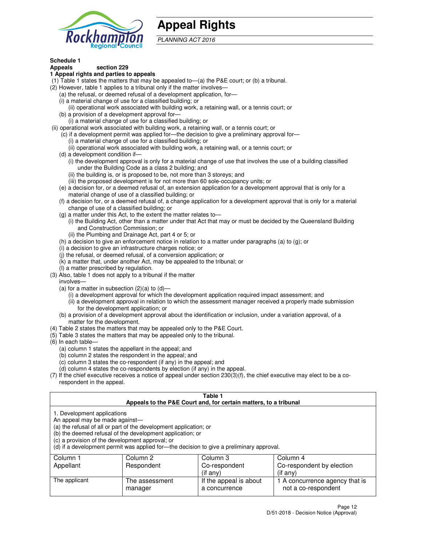

## **Appeal Rights**

PLANNING ACT 2016

## **Schedule 1**

## **Appeals section 229**

#### **1 Appeal rights and parties to appeals**

- (1) Table 1 states the matters that may be appealed to—(a) the P&E court; or (b) a tribunal.
- (2) However, table 1 applies to a tribunal only if the matter involves—
	- (a) the refusal, or deemed refusal of a development application, for—
	- (i) a material change of use for a classified building; or
	- (ii) operational work associated with building work, a retaining wall, or a tennis court; or
	- (b) a provision of a development approval for—
	- (i) a material change of use for a classified building; or
- (ii) operational work associated with building work, a retaining wall, or a tennis court; or
	- (c) if a development permit was applied for—the decision to give a preliminary approval for—
		- (i) a material change of use for a classified building; or
		- (ii) operational work associated with building work, a retaining wall, or a tennis court; or
	- (d) a development condition if—
		- (i) the development approval is only for a material change of use that involves the use of a building classified under the Building Code as a class 2 building; and
		- (ii) the building is, or is proposed to be, not more than 3 storeys; and
		- (iii) the proposed development is for not more than 60 sole-occupancy units; or
	- (e) a decision for, or a deemed refusal of, an extension application for a development approval that is only for a material change of use of a classified building; or
	- (f) a decision for, or a deemed refusal of, a change application for a development approval that is only for a material change of use of a classified building; or
	- (g) a matter under this Act, to the extent the matter relates to—
		- (i) the Building Act, other than a matter under that Act that may or must be decided by the Queensland Building and Construction Commission; or
		- (ii) the Plumbing and Drainage Act, part 4 or 5; or
	- (h) a decision to give an enforcement notice in relation to a matter under paragraphs (a) to (g); or
	- (i) a decision to give an infrastructure charges notice; or
	- (j) the refusal, or deemed refusal, of a conversion application; or
	- (k) a matter that, under another Act, may be appealed to the tribunal; or
	- (l) a matter prescribed by regulation.
- (3) Also, table 1 does not apply to a tribunal if the matter
	- involves—
	- (a) for a matter in subsection  $(2)(a)$  to  $(d)$ 
		- (i) a development approval for which the development application required impact assessment; and
		- (ii) a development approval in relation to which the assessment manager received a properly made submission for the development application; or
	- (b) a provision of a development approval about the identification or inclusion, under a variation approval, of a matter for the development.
- (4) Table 2 states the matters that may be appealed only to the P&E Court.
- (5) Table 3 states the matters that may be appealed only to the tribunal.
- (6) In each table—
	- (a) column 1 states the appellant in the appeal; and
	- (b) column 2 states the respondent in the appeal; and
	- (c) column 3 states the co-respondent (if any) in the appeal; and
	- (d) column 4 states the co-respondents by election (if any) in the appeal.
- $(7)$  If the chief executive receives a notice of appeal under section  $230(3)(f)$ , the chief executive may elect to be a corespondent in the appeal.

| Table 1<br>Appeals to the P&E Court and, for certain matters, to a tribunal                                      |                                                                                                                                |                                                                                          |                                                       |  |
|------------------------------------------------------------------------------------------------------------------|--------------------------------------------------------------------------------------------------------------------------------|------------------------------------------------------------------------------------------|-------------------------------------------------------|--|
| 1. Development applications<br>An appeal may be made against-<br>(c) a provision of the development approval; or | (a) the refusal of all or part of the development application; or<br>(b) the deemed refusal of the development application; or | (d) if a development permit was applied for-the decision to give a preliminary approval. |                                                       |  |
| Column 1                                                                                                         | Column 2                                                                                                                       | Column 3                                                                                 | Column 4                                              |  |
| Appellant                                                                                                        | Respondent                                                                                                                     | Co-respondent                                                                            | Co-respondent by election                             |  |
| (if any)<br>$($ if any $)$                                                                                       |                                                                                                                                |                                                                                          |                                                       |  |
| The applicant                                                                                                    | The assessment<br>manager                                                                                                      | If the appeal is about<br>a concurrence                                                  | 1 A concurrence agency that is<br>not a co-respondent |  |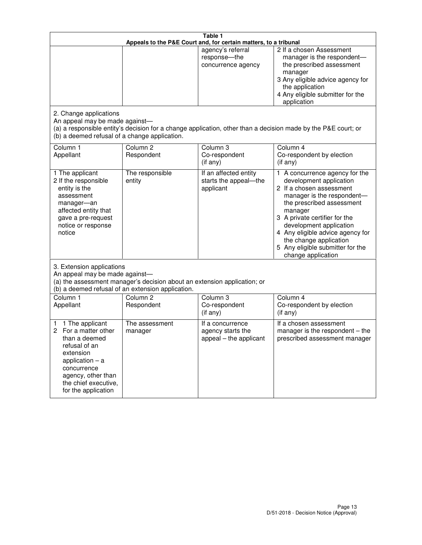| Table 1<br>Appeals to the P&E Court and, for certain matters, to a tribunal                                                                                                                             |                                                                                                                                                                                              |                                                                 |                                                                                                                                                                                                                                                                                                                                                 |  |  |
|---------------------------------------------------------------------------------------------------------------------------------------------------------------------------------------------------------|----------------------------------------------------------------------------------------------------------------------------------------------------------------------------------------------|-----------------------------------------------------------------|-------------------------------------------------------------------------------------------------------------------------------------------------------------------------------------------------------------------------------------------------------------------------------------------------------------------------------------------------|--|--|
|                                                                                                                                                                                                         |                                                                                                                                                                                              | agency's referral<br>response-the<br>concurrence agency         | 2 If a chosen Assessment<br>manager is the respondent-<br>the prescribed assessment<br>manager<br>3 Any eligible advice agency for<br>the application<br>4 Any eligible submitter for the<br>application                                                                                                                                        |  |  |
| 2. Change applications<br>An appeal may be made against-<br>(b) a deemed refusal of a change application.                                                                                               |                                                                                                                                                                                              |                                                                 | (a) a responsible entity's decision for a change application, other than a decision made by the P&E court; or                                                                                                                                                                                                                                   |  |  |
| Column 1<br>Appellant                                                                                                                                                                                   | Column <sub>2</sub><br>Respondent                                                                                                                                                            | Column <sub>3</sub><br>Co-respondent<br>(if any)                | Column 4<br>Co-respondent by election<br>(if any)                                                                                                                                                                                                                                                                                               |  |  |
| 1 The applicant<br>2 If the responsible<br>entity is the<br>assessment<br>manager-an<br>affected entity that<br>gave a pre-request<br>notice or response<br>notice                                      | The responsible<br>entity                                                                                                                                                                    | If an affected entity<br>starts the appeal-the<br>applicant     | 1 A concurrence agency for the<br>development application<br>2 If a chosen assessment<br>manager is the respondent-<br>the prescribed assessment<br>manager<br>3 A private certifier for the<br>development application<br>4 Any eligible advice agency for<br>the change application<br>5 Any eligible submitter for the<br>change application |  |  |
|                                                                                                                                                                                                         | 3. Extension applications<br>An appeal may be made against-<br>(a) the assessment manager's decision about an extension application; or<br>(b) a deemed refusal of an extension application. |                                                                 |                                                                                                                                                                                                                                                                                                                                                 |  |  |
| Column 1<br>Appellant                                                                                                                                                                                   | Column <sub>2</sub><br>Respondent                                                                                                                                                            | Column <sub>3</sub><br>Co-respondent<br>(if any)                | Column 4<br>Co-respondent by election<br>(if any)                                                                                                                                                                                                                                                                                               |  |  |
| 1 The applicant<br>1<br>For a matter other<br>2<br>than a deemed<br>refusal of an<br>extension<br>application $-$ a<br>concurrence<br>agency, other than<br>the chief executive,<br>for the application | The assessment<br>manager                                                                                                                                                                    | If a concurrence<br>agency starts the<br>appeal - the applicant | If a chosen assessment<br>manager is the respondent $-$ the<br>prescribed assessment manager                                                                                                                                                                                                                                                    |  |  |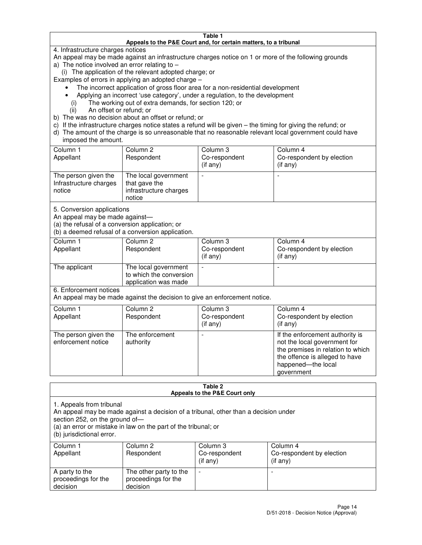#### **Table 1 Appeals to the P&E Court and, for certain matters, to a tribunal**

4. Infrastructure charges notices

An appeal may be made against an infrastructure charges notice on 1 or more of the following grounds

- a) The notice involved an error relating to
	- (i) The application of the relevant adopted charge; or

Examples of errors in applying an adopted charge –

- The incorrect application of gross floor area for a non-residential development
- Applying an incorrect 'use category', under a regulation, to the development
	- (i) The working out of extra demands, for section 120; or
	- (ii) An offset or refund; or
- b) The was no decision about an offset or refund; or
- c) If the infrastructure charges notice states a refund will be given the timing for giving the refund; or
- d) The amount of the charge is so unreasonable that no reasonable relevant local government could have imposed the amount.

| Column 1<br>Appellant                                    | Column 2<br>Respondent                                                    | Column 3<br>Co-respondent<br>$($ if any $)$ | Column 4<br>Co-respondent by election<br>$($ if any $)$ |
|----------------------------------------------------------|---------------------------------------------------------------------------|---------------------------------------------|---------------------------------------------------------|
| The person given the<br>Infrastructure charges<br>notice | The local government<br>that gave the<br>infrastructure charges<br>notice |                                             |                                                         |

5. Conversion applications

An appeal may be made against—

(a) the refusal of a conversion application; or

(b) a deemed refusal of a conversion application.

| Column 1<br>Appellant | Column 2<br>Respondent                                                  | Column 3<br>Co-respondent<br>$($ if any $)$ | Column 4<br>Co-respondent by election<br>$($ if any $)$ |
|-----------------------|-------------------------------------------------------------------------|---------------------------------------------|---------------------------------------------------------|
| The applicant         | The local government<br>to which the conversion<br>application was made |                                             |                                                         |

6. Enforcement notices

An appeal may be made against the decision to give an enforcement notice.

| Column 1<br>Appellant                      | Column 2<br>Respondent       | Column 3<br>Co-respondent<br>$($ if any $)$ | Column 4<br>Co-respondent by election<br>(if any)                                                                                                                          |
|--------------------------------------------|------------------------------|---------------------------------------------|----------------------------------------------------------------------------------------------------------------------------------------------------------------------------|
| The person given the<br>enforcement notice | The enforcement<br>authority |                                             | If the enforcement authority is<br>not the local government for<br>the premises in relation to which<br>the offence is alleged to have<br>happened-the local<br>government |

#### **Table 2 Appeals to the P&E Court only**

1. Appeals from tribunal

An appeal may be made against a decision of a tribunal, other than a decision under

section 252, on the ground of—

(a) an error or mistake in law on the part of the tribunal; or

(b) jurisdictional error.

| Column 1<br>Appellant                             | Column 2<br>Respondent                                    | Column 3<br>Co-respondent<br>(if any) | Column 4<br>Co-respondent by election<br>(if any) |
|---------------------------------------------------|-----------------------------------------------------------|---------------------------------------|---------------------------------------------------|
| A party to the<br>proceedings for the<br>decision | The other party to the<br>proceedings for the<br>decision | $\overline{\phantom{a}}$              |                                                   |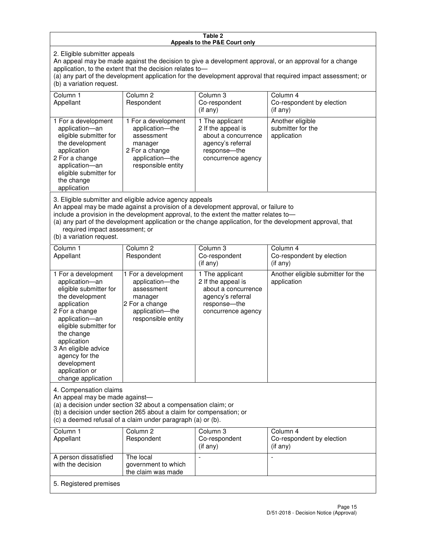#### **Table 2 Appeals to the P&E Court only**

2. Eligible submitter appeals

An appeal may be made against the decision to give a development approval, or an approval for a change application, to the extent that the decision relates to—

(a) any part of the development application for the development approval that required impact assessment; or (b) a variation request.

| Column 1<br>Appellant                                                                                                                                                                                                                                                                                                                                                                                              | Column 2<br>Respondent                                                                                                     | Column 3<br>Co-respondent<br>(if any)                                                                                     | Column 4<br>Co-respondent by election<br>(i f any)   |
|--------------------------------------------------------------------------------------------------------------------------------------------------------------------------------------------------------------------------------------------------------------------------------------------------------------------------------------------------------------------------------------------------------------------|----------------------------------------------------------------------------------------------------------------------------|---------------------------------------------------------------------------------------------------------------------------|------------------------------------------------------|
| 1 For a development<br>application-an<br>eligible submitter for<br>the development<br>application<br>2 For a change<br>application-an<br>eligible submitter for<br>the change<br>application                                                                                                                                                                                                                       | 1 For a development<br>application-the<br>assessment<br>manager<br>2 For a change<br>application-the<br>responsible entity | 1 The applicant<br>2 If the appeal is<br>about a concurrence<br>agency's referral<br>response---the<br>concurrence agency | Another eligible<br>submitter for the<br>application |
| 3. Eligible submitter and eligible advice agency appeals<br>An appeal may be made against a provision of a development approval, or failure to<br>include a provision in the development approval, to the extent the matter relates to-<br>(a) any part of the development application or the change application, for the development approval, that<br>required impact assessment; or<br>(b) a variation request. |                                                                                                                            |                                                                                                                           |                                                      |
| Column 1<br>Appellant                                                                                                                                                                                                                                                                                                                                                                                              | Column <sub>2</sub><br>Respondent                                                                                          | Column 3<br>Co-respondent<br>(if any)                                                                                     | Column 4<br>Co-respondent by election<br>(if any)    |
| 1 For a development<br>application-an<br>eligible submitter for<br>the development<br>application                                                                                                                                                                                                                                                                                                                  | 1 For a development<br>application-the<br>assessment<br>manager<br>2 For a change                                          | 1 The applicant<br>2 If the appeal is<br>about a concurrence<br>agency's referral<br>response---the                       | Another eligible submitter for the<br>application    |

concurrence agency

4. Compensation claims

2 For a change application—an eligible submitter for

the change application 3 An eligible advice agency for the development application or change application

An appeal may be made against—

(a) a decision under section 32 about a compensation claim; or

(b) a decision under section 265 about a claim for compensation; or

application—the responsible entity

(c) a deemed refusal of a claim under paragraph (a) or (b).

| Column 1<br>Appellant                      | Column 2<br>Respondent                                 | Column 3<br>Co-respondent<br>(if any) | Column 4<br>Co-respondent by election<br>$($ if any $)$ |
|--------------------------------------------|--------------------------------------------------------|---------------------------------------|---------------------------------------------------------|
| A person dissatisfied<br>with the decision | The local<br>government to which<br>the claim was made | -                                     |                                                         |
| 5. Registered premises                     |                                                        |                                       |                                                         |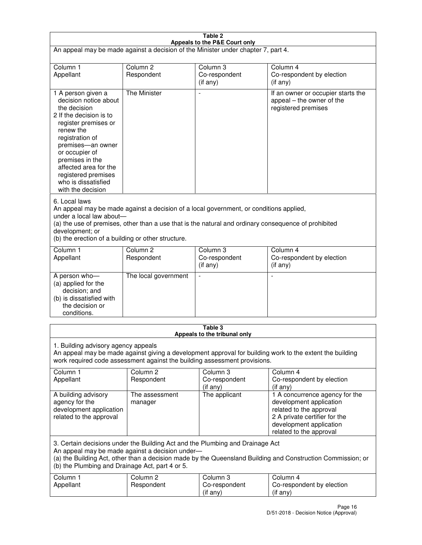| Table 2<br>Appeals to the P&E Court only                                                                                                                                                                                                                                                                             |                                   |                                         |                                                                                                                                                                             |  |
|----------------------------------------------------------------------------------------------------------------------------------------------------------------------------------------------------------------------------------------------------------------------------------------------------------------------|-----------------------------------|-----------------------------------------|-----------------------------------------------------------------------------------------------------------------------------------------------------------------------------|--|
| An appeal may be made against a decision of the Minister under chapter 7, part 4.                                                                                                                                                                                                                                    |                                   |                                         |                                                                                                                                                                             |  |
|                                                                                                                                                                                                                                                                                                                      |                                   |                                         |                                                                                                                                                                             |  |
| Column 1<br>Appellant                                                                                                                                                                                                                                                                                                | Column <sub>2</sub><br>Respondent | Column <sub>3</sub><br>Co-respondent    | Column <sub>4</sub><br>Co-respondent by election                                                                                                                            |  |
|                                                                                                                                                                                                                                                                                                                      |                                   | $($ if any $)$                          | (if any)                                                                                                                                                                    |  |
| 1 A person given a<br>decision notice about<br>the decision<br>2 If the decision is to<br>register premises or<br>renew the<br>registration of<br>premises-an owner<br>or occupier of<br>premises in the<br>affected area for the<br>registered premises<br>who is dissatisfied<br>with the decision                 | <b>The Minister</b>               |                                         | If an owner or occupier starts the<br>appeal – the owner of the<br>registered premises                                                                                      |  |
| 6. Local laws<br>An appeal may be made against a decision of a local government, or conditions applied,<br>under a local law about-<br>(a) the use of premises, other than a use that is the natural and ordinary consequence of prohibited<br>development; or<br>(b) the erection of a building or other structure. |                                   |                                         |                                                                                                                                                                             |  |
| Column 1                                                                                                                                                                                                                                                                                                             | Column <sub>2</sub>               | Column 3                                | Column $\overline{4}$                                                                                                                                                       |  |
| Appellant                                                                                                                                                                                                                                                                                                            | Respondent                        | Co-respondent<br>(if any)               | Co-respondent by election<br>(if any)                                                                                                                                       |  |
| A person who-<br>(a) applied for the<br>decision; and<br>(b) is dissatisfied with<br>the decision or<br>conditions.                                                                                                                                                                                                  | The local government              |                                         |                                                                                                                                                                             |  |
|                                                                                                                                                                                                                                                                                                                      |                                   | Table 3<br>Appeals to the tribunal only |                                                                                                                                                                             |  |
| 1. Building advisory agency appeals<br>An appeal may be made against giving a development approval for building work to the extent the building<br>work required code assessment against the building assessment provisions.                                                                                         |                                   |                                         |                                                                                                                                                                             |  |
| Column 1<br>Appellant                                                                                                                                                                                                                                                                                                | Column <sub>2</sub><br>Respondent | Column 3<br>Co-respondent<br>(if any)   | Column 4<br>Co-respondent by election<br>(if any)                                                                                                                           |  |
| A building advisory<br>agency for the<br>development application<br>related to the approval                                                                                                                                                                                                                          | The assessment<br>manager         | The applicant                           | 1 A concurrence agency for the<br>development application<br>related to the approval<br>2 A private certifier for the<br>development application<br>related to the approval |  |
| 3. Certain decisions under the Building Act and the Plumbing and Drainage Act<br>An appeal may be made against a decision under-<br>(a) the Building Act, other than a decision made by the Queensland Building and Construction Commission; or<br>(b) the Plumbing and Drainage Act, part 4 or 5.                   |                                   |                                         |                                                                                                                                                                             |  |
| Column 1<br>Appellant                                                                                                                                                                                                                                                                                                | Column <sub>2</sub><br>Respondent | Column 3<br>Co-respondent<br>(if any)   | Column 4<br>Co-respondent by election<br>(if any)                                                                                                                           |  |